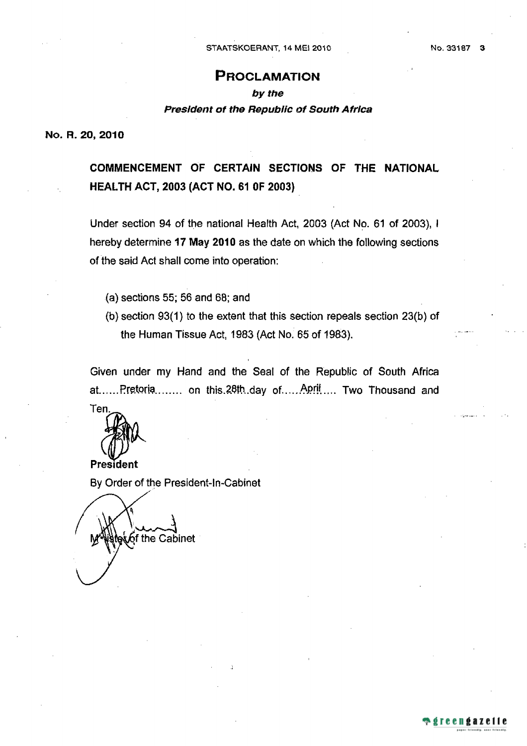## **PROCLAMATION**

# by the President of the Republic of South Africa

No. R. 20, 2010

COMMENCEMENT OF CERTAIN SECTIONS OF THE NATIONAL **HEALTH ACT, 2003 (ACT NO. 61 0F 2003)** 

Under section 94 of the national Health Act, 2003 (Act No. 61 of 2003), I hereby determine 17 May 2010 as the date on which the following sections of the said Act shall come into operation:

- (a) sections 55; 56 and 68; and
- (b) section 93(1) to the extent that this section repeals section 23(b) of the Human Tissue Act, 1983 (Act No. 65 of 1983).

Given under my Hand and the Seal of the Republic of South Africa at......Pretoria....... on this.28th.day of.....Aprit.... Two Thousand and

Ten

President

By Order of the President-In-Cabinet

लैर्की the Cabinet